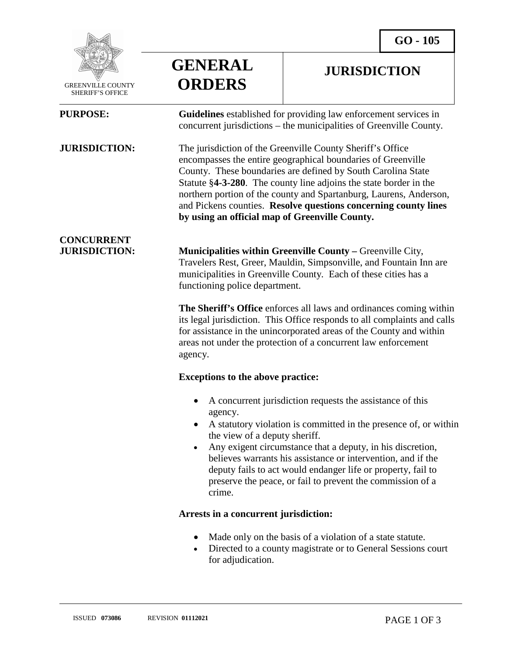**JURISDICTION** 



 GREENVILLE COUNTY SHERIFF'S OFFICE

l

**GENERAL ORDERS**

**PURPOSE: Guidelines** established for providing law enforcement services in concurrent jurisdictions – the municipalities of Greenville County.

**JURISDICTION:** The jurisdiction of the Greenville County Sheriff's Office encompasses the entire geographical boundaries of Greenville County. These boundaries are defined by South Carolina State Statute §**4-3-280**. The county line adjoins the state border in the northern portion of the county and Spartanburg, Laurens, Anderson, and Pickens counties. **Resolve questions concerning county lines by using an official map of Greenville County.**

# **CONCURRENT**

**JURISDICTION: Municipalities within Greenville County –** Greenville City, Travelers Rest, Greer, Mauldin, Simpsonville, and Fountain Inn are municipalities in Greenville County. Each of these cities has a functioning police department.

> **The Sheriff's Office** enforces all laws and ordinances coming within its legal jurisdiction. This Office responds to all complaints and calls for assistance in the unincorporated areas of the County and within areas not under the protection of a concurrent law enforcement agency.

## **Exceptions to the above practice:**

- A concurrent jurisdiction requests the assistance of this agency.
- A statutory violation is committed in the presence of, or within the view of a deputy sheriff.
- Any exigent circumstance that a deputy, in his discretion, believes warrants his assistance or intervention, and if the deputy fails to act would endanger life or property, fail to preserve the peace, or fail to prevent the commission of a crime.

## **Arrests in a concurrent jurisdiction:**

- Made only on the basis of a violation of a state statute.
- Directed to a county magistrate or to General Sessions court for adjudication.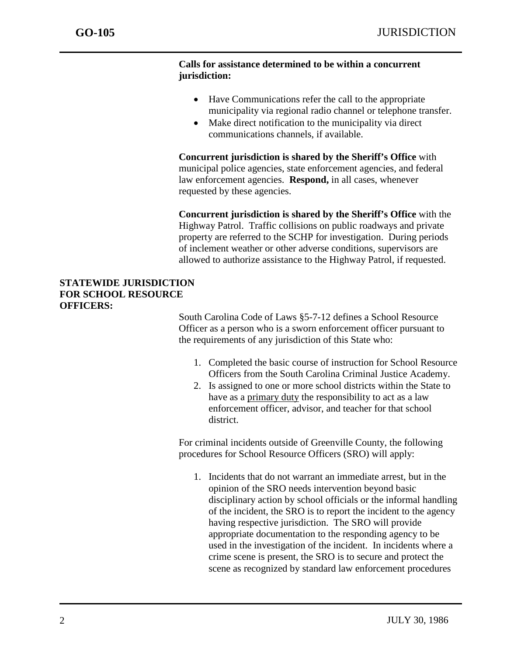j

#### **Calls for assistance determined to be within a concurrent jurisdiction:**

- Have Communications refer the call to the appropriate municipality via regional radio channel or telephone transfer.
- Make direct notification to the municipality via direct communications channels, if available.

**Concurrent jurisdiction is shared by the Sheriff's Office** with municipal police agencies, state enforcement agencies, and federal law enforcement agencies. **Respond,** in all cases, whenever requested by these agencies.

**Concurrent jurisdiction is shared by the Sheriff's Office** with the Highway Patrol. Traffic collisions on public roadways and private property are referred to the SCHP for investigation. During periods of inclement weather or other adverse conditions, supervisors are allowed to authorize assistance to the Highway Patrol, if requested.

## **STATEWIDE JURISDICTION FOR SCHOOL RESOURCE OFFICERS:**

South Carolina Code of Laws §5-7-12 defines a School Resource Officer as a person who is a sworn enforcement officer pursuant to the requirements of any jurisdiction of this State who:

- 1. Completed the basic course of instruction for School Resource Officers from the South Carolina Criminal Justice Academy.
- 2. Is assigned to one or more school districts within the State to have as a primary duty the responsibility to act as a law enforcement officer, advisor, and teacher for that school district.

For criminal incidents outside of Greenville County, the following procedures for School Resource Officers (SRO) will apply:

1. Incidents that do not warrant an immediate arrest, but in the opinion of the SRO needs intervention beyond basic disciplinary action by school officials or the informal handling of the incident, the SRO is to report the incident to the agency having respective jurisdiction. The SRO will provide appropriate documentation to the responding agency to be used in the investigation of the incident. In incidents where a crime scene is present, the SRO is to secure and protect the scene as recognized by standard law enforcement procedures